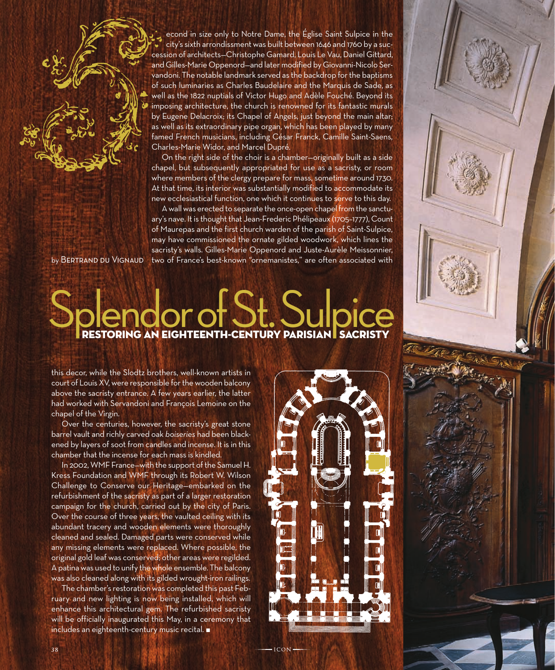econd in size only to Notre Dame, the Église Saint Sulpice in the city's sixth arrondissment was built between 1646 and 1760 by a succession of architects—Christophe Gamard, Louis Le Vau, Daniel Gittard, and Gilles-Marie Oppenord—and later modified by Giovanni-Nicolo Servandoni. The notable landmark served as the backdrop for the baptisms of such luminaries as Charles Baudelaire and the Marquis de Sade, as well as the 1822 nuptials of Victor Hugo and Adèle Fouché. Beyond its imposing architecture, the church is renowned for its fantastic murals by Eugene Delacroix; its Chapel of Angels, just beyond the main altar; as well as its extraordinary pipe organ, which has been played by many famed French musicians, including César Franck, Camille Saint-Saens, Charles-Marie Widor, and Marcel Dupré.

On the right side of the choir is a chamber—originally built as a side chapel, but subsequently appropriated for use as a sacristy, or room where members of the clergy prepare for mass, sometime around 1730. At that time, its interior was substantially modified to accommodate its new ecclesiastical function, one which it continues to serve to this day.

A wall was erected to separate the once-open chapel from the sanctuary's nave. It is thought that Jean-Frederic Phélipeaux (1705–1777), Count of Maurepas and the first church warden of the parish of Saint-Sulpice, may have commissioned the ornate gilded woodwork, which lines the sacristy's walls. Gilles-Marie Oppenord and Juste-Aurèle Meissonnier, two of France's best-known "ornemanistes," are often associated with

by Bertrand du Vignaud

## Sendor of St. Sulpice

this decor, while the Slodtz brothers, well-known artists in court of Louis XV, were responsible for the wooden balcony above the sacristy entrance. A few years earlier, the latter had worked with Servandoni and François Lemoine on the chapel of the Virgin.

Over the centuries, however, the sacristy's great stone barrel vault and richly carved oak *boiseries* had been blackened by layers of soot from candles and incense. It is in this chamber that the incense for each mass is kindled.

In 2002, WMF France—with the support of the Samuel H. Kress Foundation and WMF through its Robert W. Wilson Challenge to Conserve our Heritage—embarked on the refurbishment of the sacristy as part of a larger restoration campaign for the church, carried out by the city of Paris. Over the course of three years, the vaulted ceiling with its abundant tracery and wooden elements were thoroughly cleaned and sealed. Damaged parts were conserved while any missing elements were replaced. Where possible, the original gold leaf was conserved; other areas were regilded. A patina was used to unify the whole ensemble. The balcony was also cleaned along with its gilded wrought-iron railings.

The chamber's restoration was completed this past February and new lighting is now being installed, which will enhance this architectural gem. The refurbished sacristy will be officially inaugurated this May, in a ceremony that  $includes$  an eighteenth-century music recital.